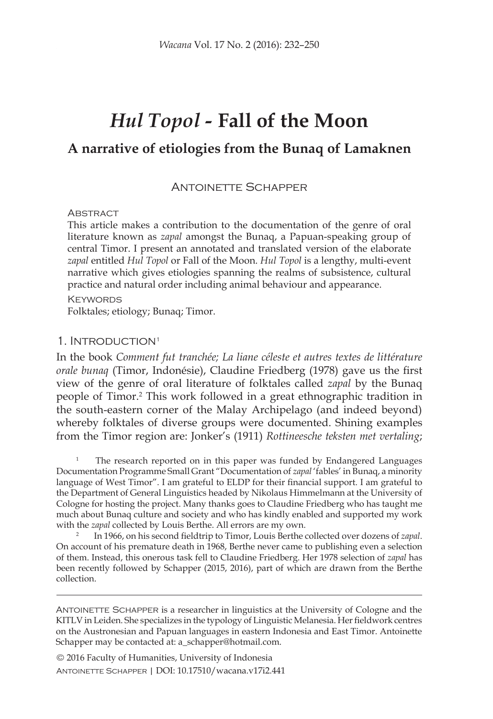# *Hul Topol -* **Fall of the Moon**

## **A narrative of etiologies from the Bunaq of Lamaknen**

#### Antoinette Schapper

#### **ABSTRACT**

This article makes a contribution to the documentation of the genre of oral literature known as *zapal* amongst the Bunaq, a Papuan-speaking group of central Timor. I present an annotated and translated version of the elaborate *zapal* entitled *Hul Topol* or Fall of the Moon. *Hul Topol* is a lengthy, multi-event narrative which gives etiologies spanning the realms of subsistence, cultural practice and natural order including animal behaviour and appearance.

**KEYWORDS** 

Folktales; etiology; Bunaq; Timor.

#### 1. Introduction1

In the book *Comment fut tranchée; La liane céleste et autres textes de littérature orale bunaq* (Timor, Indonésie), Claudine Friedberg (1978) gave us the first view of the genre of oral literature of folktales called *zapal* by the Bunaq people of Timor.<sup>2</sup> This work followed in a great ethnographic tradition in the south-eastern corner of the Malay Archipelago (and indeed beyond) whereby folktales of diverse groups were documented. Shining examples from the Timor region are: Jonker's (1911) *Rottineesche teksten met vertaling*;

The research reported on in this paper was funded by Endangered Languages Documentation Programme Small Grant "Documentation of *zapal* 'fables' in Bunaq, a minority language of West Timor". I am grateful to ELDP for their financial support. I am grateful to the Department of General Linguistics headed by Nikolaus Himmelmann at the University of Cologne for hosting the project. Many thanks goes to Claudine Friedberg who has taught me much about Bunaq culture and society and who has kindly enabled and supported my work with the *zapal* collected by Louis Berthe. All errors are my own.

<sup>2</sup> In 1966, on his second fieldtrip to Timor, Louis Berthe collected over dozens of *zapal*. On account of his premature death in 1968, Berthe never came to publishing even a selection of them. Instead, this onerous task fell to Claudine Friedberg. Her 1978 selection of *zapal* has been recently followed by Schapper (2015, 2016), part of which are drawn from the Berthe collection.

ANTOINETTE SCHAPPER is a researcher in linguistics at the University of Cologne and the KITLV in Leiden. She specializes in the typology of Linguistic Melanesia. Her fieldwork centres on the Austronesian and Papuan languages in eastern Indonesia and East Timor. Antoinette Schapper may be contacted at: a\_schapper@hotmail.com.

© 2016 Faculty of Humanities, University of Indonesia Antoinette Schapper | DOI: 10.17510/wacana.v17i2.441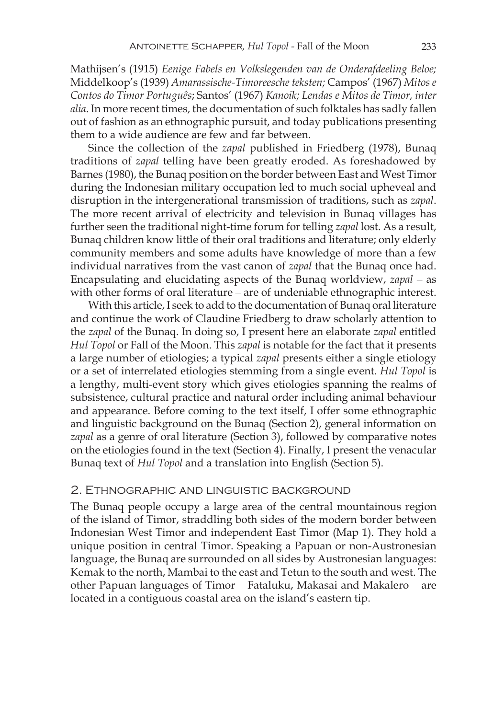Mathijsen's (1915) *Eenige Fabels en Volkslegenden van de Onderafdeeling Beloe;*  Middelkoop's (1939) *Amarassische-Timoreesche teksten;* Campos' (1967) *Mitos e Contos do Timor Português*; Santos' (1967) *Kanoik; Lendas e Mitos de Timor, inter alia*. In more recent times, the documentation of such folktales has sadly fallen out of fashion as an ethnographic pursuit, and today publications presenting them to a wide audience are few and far between.

Since the collection of the *zapal* published in Friedberg (1978), Bunaq traditions of *zapal* telling have been greatly eroded. As foreshadowed by Barnes (1980), the Bunaq position on the border between East and West Timor during the Indonesian military occupation led to much social upheveal and disruption in the intergenerational transmission of traditions, such as *zapal*. The more recent arrival of electricity and television in Bunaq villages has further seen the traditional night-time forum for telling *zapal* lost. As a result, Bunaq children know little of their oral traditions and literature; only elderly community members and some adults have knowledge of more than a few individual narratives from the vast canon of *zapal* that the Bunaq once had. Encapsulating and elucidating aspects of the Bunaq worldview, *zapal* – as with other forms of oral literature – are of undeniable ethnographic interest.

With this article, I seek to add to the documentation of Bunaq oral literature and continue the work of Claudine Friedberg to draw scholarly attention to the *zapal* of the Bunaq. In doing so, I present here an elaborate *zapal* entitled *Hul Topol* or Fall of the Moon. This *zapal* is notable for the fact that it presents a large number of etiologies; a typical *zapal* presents either a single etiology or a set of interrelated etiologies stemming from a single event. *Hul Topol* is a lengthy, multi-event story which gives etiologies spanning the realms of subsistence, cultural practice and natural order including animal behaviour and appearance. Before coming to the text itself, I offer some ethnographic and linguistic background on the Bunaq (Section 2), general information on *zapal* as a genre of oral literature (Section 3), followed by comparative notes on the etiologies found in the text (Section 4). Finally, I present the venacular Bunaq text of *Hul Topol* and a translation into English (Section 5).

#### 2. Ethnographic and linguistic background

The Bunaq people occupy a large area of the central mountainous region of the island of Timor, straddling both sides of the modern border between Indonesian West Timor and independent East Timor (Map 1). They hold a unique position in central Timor. Speaking a Papuan or non-Austronesian language, the Bunaq are surrounded on all sides by Austronesian languages: Kemak to the north, Mambai to the east and Tetun to the south and west. The other Papuan languages of Timor – Fataluku, Makasai and Makalero – are located in a contiguous coastal area on the island's eastern tip.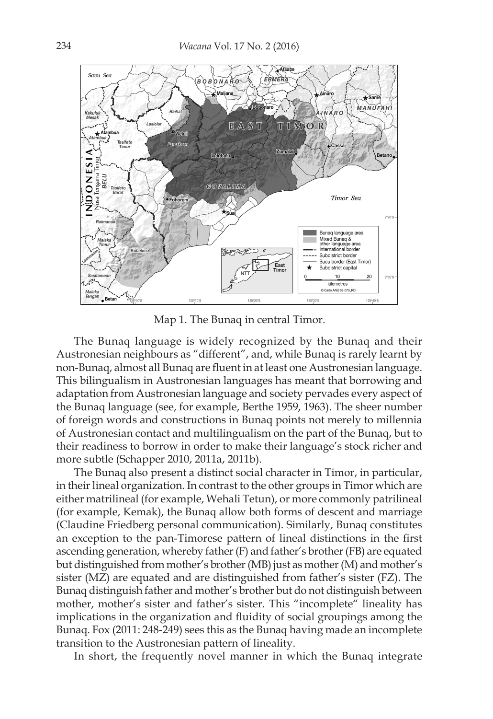

Map 1. The Bunaq in central Timor.

The Bunaq language is widely recognized by the Bunaq and their Austronesian neighbours as "different", and, while Bunaq is rarely learnt by non-Bunaq, almost all Bunaq are fluent in at least one Austronesian language. This bilingualism in Austronesian languages has meant that borrowing and adaptation from Austronesian language and society pervades every aspect of the Bunaq language (see, for example, Berthe 1959, 1963). The sheer number of foreign words and constructions in Bunaq points not merely to millennia of Austronesian contact and multilingualism on the part of the Bunaq, but to their readiness to borrow in order to make their language's stock richer and more subtle (Schapper 2010, 2011a, 2011b).

The Bunaq also present a distinct social character in Timor, in particular, in their lineal organization. In contrast to the other groups in Timor which are either matrilineal (for example, Wehali Tetun), or more commonly patrilineal (for example, Kemak), the Bunaq allow both forms of descent and marriage (Claudine Friedberg personal communication). Similarly, Bunaq constitutes an exception to the pan-Timorese pattern of lineal distinctions in the first ascending generation, whereby father (F) and father's brother (FB) are equated but distinguished from mother's brother (MB) just as mother (M) and mother's sister (MZ) are equated and are distinguished from father's sister (FZ). The Bunaq distinguish father and mother's brother but do not distinguish between mother, mother's sister and father's sister. This "incomplete" lineality has implications in the organization and fluidity of social groupings among the Bunaq. Fox (2011: 248-249) sees this as the Bunaq having made an incomplete transition to the Austronesian pattern of lineality.

In short, the frequently novel manner in which the Bunaq integrate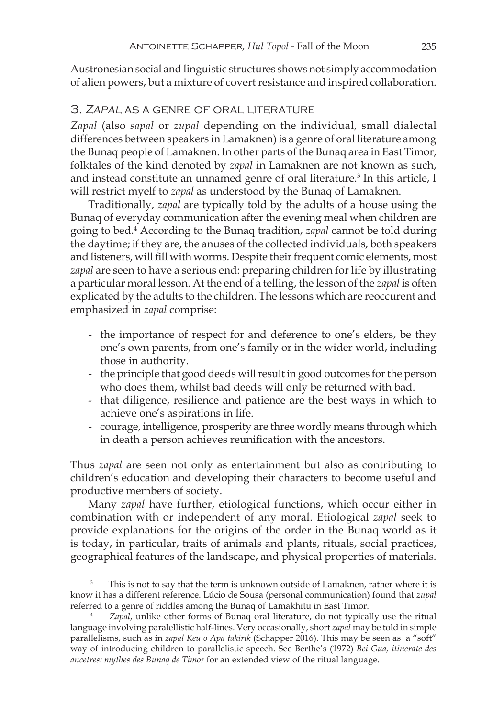Austronesian social and linguistic structures shows not simply accommodation of alien powers, but a mixture of covert resistance and inspired collaboration.

#### 3. Zapal as a genre of oral literature

*Zapal* (also *sapal* or *zupal* depending on the individual, small dialectal differences between speakers in Lamaknen) is a genre of oral literature among the Bunaq people of Lamaknen. In other parts of the Bunaq area in East Timor, folktales of the kind denoted by *zapal* in Lamaknen are not known as such, and instead constitute an unnamed genre of oral literature.<sup>3</sup> In this article, I will restrict myelf to *zapal* as understood by the Bunaq of Lamaknen.

Traditionally, *zapal* are typically told by the adults of a house using the Bunaq of everyday communication after the evening meal when children are going to bed.<sup>4</sup> According to the Bunaq tradition, *zapal* cannot be told during the daytime; if they are, the anuses of the collected individuals, both speakers and listeners, will fill with worms. Despite their frequent comic elements, most *zapal* are seen to have a serious end: preparing children for life by illustrating a particular moral lesson. At the end of a telling, the lesson of the *zapal* is often explicated by the adults to the children. The lessons which are reoccurent and emphasized in *zapal* comprise:

- the importance of respect for and deference to one's elders, be they one's own parents, from one's family or in the wider world, including those in authority.
- the principle that good deeds will result in good outcomes for the person who does them, whilst bad deeds will only be returned with bad.
- that diligence, resilience and patience are the best ways in which to achieve one's aspirations in life.
- courage, intelligence, prosperity are three wordly means through which in death a person achieves reunification with the ancestors.

Thus *zapal* are seen not only as entertainment but also as contributing to children's education and developing their characters to become useful and productive members of society.

Many *zapal* have further, etiological functions, which occur either in combination with or independent of any moral. Etiological *zapal* seek to provide explanations for the origins of the order in the Bunaq world as it is today, in particular, traits of animals and plants, rituals, social practices, geographical features of the landscape, and physical properties of materials.

This is not to say that the term is unknown outside of Lamaknen, rather where it is know it has a different reference. Lúcio de Sousa (personal communication) found that *zupal* referred to a genre of riddles among the Bunaq of Lamakhitu in East Timor. 4 *Zapal*, unlike other forms of Bunaq oral literature, do not typically use the ritual

language involving paralellistic half-lines. Very occasionally, short *zapal* may be told in simple parallelisms, such as in *zapal Keu o Apa takirik* (Schapper 2016). This may be seen as a "soft" way of introducing children to parallelistic speech. See Berthe's (1972) *Bei Gua, itinerate des ancetres: mythes des Bunaq de Timor* for an extended view of the ritual language.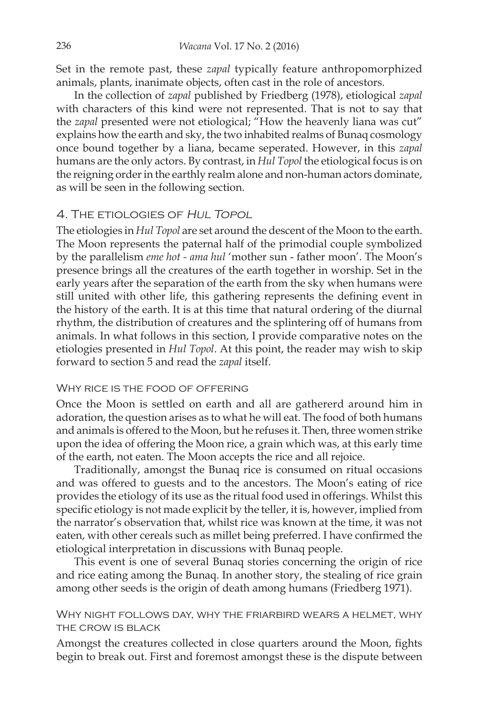Set in the remote past, these *zapal* typically feature anthropomorphized animals, plants, inanimate objects, often cast in the role of ancestors.

In the collection of *zapal* published by Friedberg (1978), etiological *zapal* with characters of this kind were not represented. That is not to say that the *zapal* presented were not etiological; "How the heavenly liana was cut" explains how the earth and sky, the two inhabited realms of Bunaq cosmology once bound together by a liana, became seperated. However, in this *zapal* humans are the only actors. By contrast, in *Hul Topol* the etiological focus is on the reigning order in the earthly realm alone and non-human actors dominate, as will be seen in the following section.

### 4. The etiologies of Hul Topol

The etiologies in *Hul Topol* are set around the descent of the Moon to the earth. The Moon represents the paternal half of the primodial couple symbolized by the parallelism *eme hot - ama hul* 'mother sun - father moon'. The Moon's presence brings all the creatures of the earth together in worship. Set in the early years after the separation of the earth from the sky when humans were still united with other life, this gathering represents the defining event in the history of the earth. It is at this time that natural ordering of the diurnal rhythm, the distribution of creatures and the splintering off of humans from animals. In what follows in this section, I provide comparative notes on the etiologies presented in *Hul Topol*. At this point, the reader may wish to skip forward to section 5 and read the *zapal* itself.

#### WHY RICE IS THE FOOD OF OFFERING

Once the Moon is settled on earth and all are gathererd around him in adoration, the question arises as to what he will eat. The food of both humans and animals is offered to the Moon, but he refuses it. Then, three women strike upon the idea of offering the Moon rice, a grain which was, at this early time of the earth, not eaten. The Moon accepts the rice and all rejoice.

Traditionally, amongst the Bunaq rice is consumed on ritual occasions and was offered to guests and to the ancestors. The Moon's eating of rice provides the etiology of its use as the ritual food used in offerings. Whilst this specific etiology is not made explicit by the teller, it is, however, implied from the narrator's observation that, whilst rice was known at the time, it was not eaten, with other cereals such as millet being preferred. I have confirmed the etiological interpretation in discussions with Bunaq people.

This event is one of several Bunaq stories concerning the origin of rice and rice eating among the Bunaq. In another story, the stealing of rice grain among other seeds is the origin of death among humans (Friedberg 1971).

#### Why night follows day, why the friarbird wears a helmet, why the crow is black

Amongst the creatures collected in close quarters around the Moon, fights begin to break out. First and foremost amongst these is the dispute between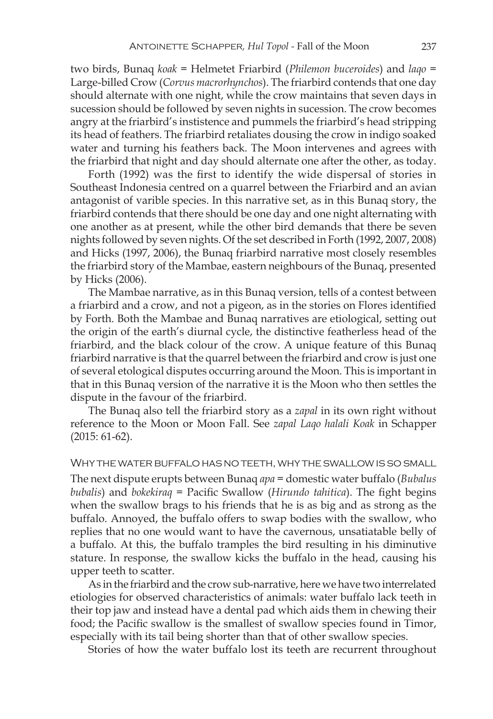two birds, Bunaq *koak* = Helmetet Friarbird (*Philemon buceroides*) and *laqo* = Large-billed Crow (*Corvus macrorhynchos*). The friarbird contends that one day should alternate with one night, while the crow maintains that seven days in sucession should be followed by seven nights in sucession. The crow becomes angry at the friarbird's instistence and pummels the friarbird's head stripping its head of feathers. The friarbird retaliates dousing the crow in indigo soaked water and turning his feathers back. The Moon intervenes and agrees with the friarbird that night and day should alternate one after the other, as today.

Forth (1992) was the first to identify the wide dispersal of stories in Southeast Indonesia centred on a quarrel between the Friarbird and an avian antagonist of varible species. In this narrative set, as in this Bunaq story, the friarbird contends that there should be one day and one night alternating with one another as at present, while the other bird demands that there be seven nights followed by seven nights. Of the set described in Forth (1992, 2007, 2008) and Hicks (1997, 2006), the Bunaq friarbird narrative most closely resembles the friarbird story of the Mambae, eastern neighbours of the Bunaq, presented by Hicks (2006).

The Mambae narrative, as in this Bunaq version, tells of a contest between a friarbird and a crow, and not a pigeon, as in the stories on Flores identified by Forth. Both the Mambae and Bunaq narratives are etiological, setting out the origin of the earth's diurnal cycle, the distinctive featherless head of the friarbird, and the black colour of the crow. A unique feature of this Bunaq friarbird narrative is that the quarrel between the friarbird and crow is just one of several etological disputes occurring around the Moon. This is important in that in this Bunaq version of the narrative it is the Moon who then settles the dispute in the favour of the friarbird.

The Bunaq also tell the friarbird story as a *zapal* in its own right without reference to the Moon or Moon Fall. See *zapal Laqo halali Koak* in Schapper (2015: 61-62).

#### Why the water buffalo has no teeth, why the swallow is so small

The next dispute erupts between Bunaq *apa* = domestic water buffalo (*Bubalus bubalis*) and *bokekiraq* = Pacific Swallow (*Hirundo tahitica*). The fight begins when the swallow brags to his friends that he is as big and as strong as the buffalo. Annoyed, the buffalo offers to swap bodies with the swallow, who replies that no one would want to have the cavernous, unsatiatable belly of a buffalo. At this, the buffalo tramples the bird resulting in his diminutive stature. In response, the swallow kicks the buffalo in the head, causing his upper teeth to scatter.

As in the friarbird and the crow sub-narrative, here we have two interrelated etiologies for observed characteristics of animals: water buffalo lack teeth in their top jaw and instead have a dental pad which aids them in chewing their food; the Pacific swallow is the smallest of swallow species found in Timor, especially with its tail being shorter than that of other swallow species.

Stories of how the water buffalo lost its teeth are recurrent throughout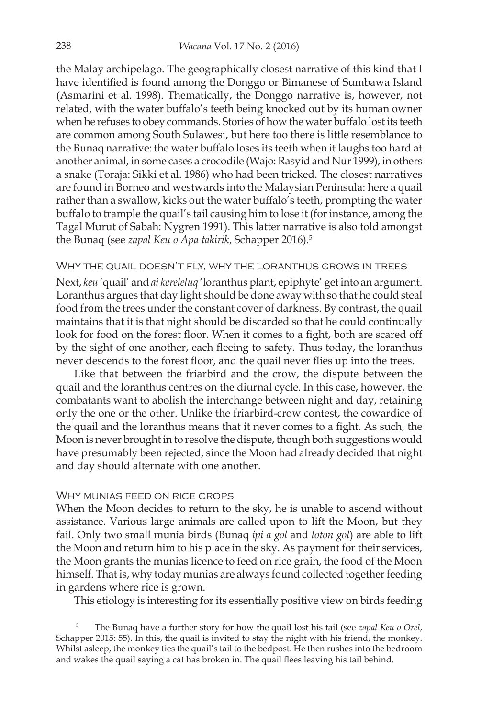the Malay archipelago. The geographically closest narrative of this kind that I have identified is found among the Donggo or Bimanese of Sumbawa Island (Asmarini et al. 1998). Thematically, the Donggo narrative is, however, not related, with the water buffalo's teeth being knocked out by its human owner when he refuses to obey commands. Stories of how the water buffalo lost its teeth are common among South Sulawesi, but here too there is little resemblance to the Bunaq narrative: the water buffalo loses its teeth when it laughs too hard at another animal, in some cases a crocodile (Wajo: Rasyid and Nur 1999), in others a snake (Toraja: Sikki et al. 1986) who had been tricked. The closest narratives are found in Borneo and westwards into the Malaysian Peninsula: here a quail rather than a swallow, kicks out the water buffalo's teeth, prompting the water buffalo to trample the quail's tail causing him to lose it (for instance, among the Tagal Murut of Sabah: Nygren 1991). This latter narrative is also told amongst the Bunaq (see *zapal Keu o Apa takirik*, Schapper 2016).5

#### Why the quail doesn't fly, why the loranthus grows in trees

Next, *keu* 'quail' and *ai kereleluq* 'loranthus plant, epiphyte' get into an argument. Loranthus argues that day light should be done away with so that he could steal food from the trees under the constant cover of darkness. By contrast, the quail maintains that it is that night should be discarded so that he could continually look for food on the forest floor. When it comes to a fight, both are scared off by the sight of one another, each fleeing to safety. Thus today, the loranthus never descends to the forest floor, and the quail never flies up into the trees.

Like that between the friarbird and the crow, the dispute between the quail and the loranthus centres on the diurnal cycle. In this case, however, the combatants want to abolish the interchange between night and day, retaining only the one or the other. Unlike the friarbird-crow contest, the cowardice of the quail and the loranthus means that it never comes to a fight. As such, the Moon is never brought in to resolve the dispute, though both suggestions would have presumably been rejected, since the Moon had already decided that night and day should alternate with one another.

#### Why munias feed on rice crops

When the Moon decides to return to the sky, he is unable to ascend without assistance. Various large animals are called upon to lift the Moon, but they fail. Only two small munia birds (Bunaq *ipi a gol* and *loton gol*) are able to lift the Moon and return him to his place in the sky. As payment for their services, the Moon grants the munias licence to feed on rice grain, the food of the Moon himself. That is, why today munias are always found collected together feeding in gardens where rice is grown.

This etiology is interesting for its essentially positive view on birds feeding

<sup>5</sup> The Bunaq have a further story for how the quail lost his tail (see *zapal Keu o Orel*, Schapper 2015: 55). In this, the quail is invited to stay the night with his friend, the monkey. Whilst asleep, the monkey ties the quail's tail to the bedpost. He then rushes into the bedroom and wakes the quail saying a cat has broken in. The quail flees leaving his tail behind.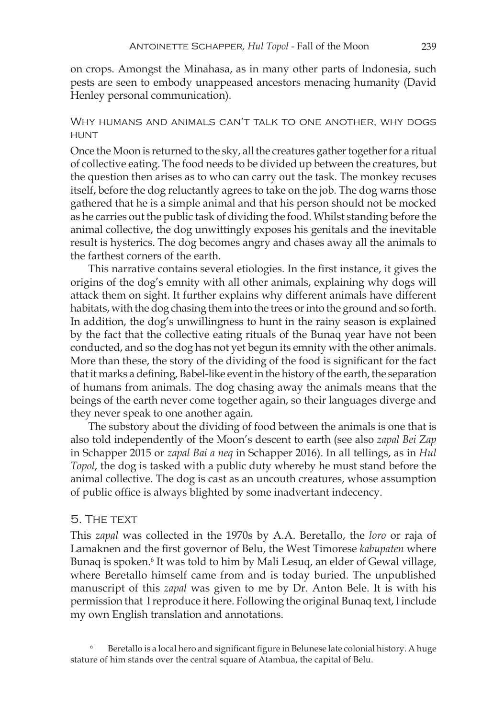on crops. Amongst the Minahasa, as in many other parts of Indonesia, such pests are seen to embody unappeased ancestors menacing humanity (David Henley personal communication).

#### Why humans and animals can't talk to one another, why dogs **HUNT**

Once the Moon is returned to the sky, all the creatures gather together for a ritual of collective eating. The food needs to be divided up between the creatures, but the question then arises as to who can carry out the task. The monkey recuses itself, before the dog reluctantly agrees to take on the job. The dog warns those gathered that he is a simple animal and that his person should not be mocked as he carries out the public task of dividing the food. Whilst standing before the animal collective, the dog unwittingly exposes his genitals and the inevitable result is hysterics. The dog becomes angry and chases away all the animals to the farthest corners of the earth.

This narrative contains several etiologies. In the first instance, it gives the origins of the dog's emnity with all other animals, explaining why dogs will attack them on sight. It further explains why different animals have different habitats, with the dog chasing them into the trees or into the ground and so forth. In addition, the dog's unwillingness to hunt in the rainy season is explained by the fact that the collective eating rituals of the Bunaq year have not been conducted, and so the dog has not yet begun its emnity with the other animals. More than these, the story of the dividing of the food is significant for the fact that it marks a defining, Babel-like event in the history of the earth, the separation of humans from animals. The dog chasing away the animals means that the beings of the earth never come together again, so their languages diverge and they never speak to one another again.

The substory about the dividing of food between the animals is one that is also told independently of the Moon's descent to earth (see also *zapal Bei Zap* in Schapper 2015 or *zapal Bai a neq* in Schapper 2016). In all tellings, as in *Hul Topol*, the dog is tasked with a public duty whereby he must stand before the animal collective. The dog is cast as an uncouth creatures, whose assumption of public office is always blighted by some inadvertant indecency.

#### 5. The text

This *zapal* was collected in the 1970s by A.A. Beretallo, the *loro* or raja of Lamaknen and the first governor of Belu, the West Timorese *kabupaten* where Bunaq is spoken.<sup>6</sup> It was told to him by Mali Lesuq, an elder of Gewal village, where Beretallo himself came from and is today buried. The unpublished manuscript of this *zapal* was given to me by Dr. Anton Bele. It is with his permission that I reproduce it here. Following the original Bunaq text, I include my own English translation and annotations.

<sup>6</sup> Beretallo is a local hero and significant figure in Belunese late colonial history. A huge stature of him stands over the central square of Atambua, the capital of Belu.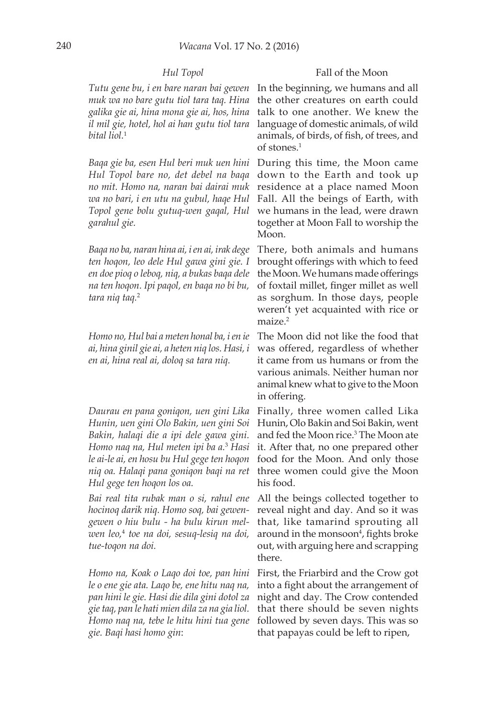*Tutu gene bu, i en bare naran bai gewen muk wa no bare gutu tiol tara taq. Hina galika gie ai, hina mona gie ai, hos, hina il mil gie, hotel, hol ai han gutu tiol tara bital liol.*<sup>1</sup>

*Baqa gie ba, esen Hul beri muk uen hini Hul Topol bare no, det debel na baqa no mit. Homo na, naran bai dairai muk wa no bari, i en utu na gubul, haqe Hul Topol gene bolu gutuq-wen gaqal, Hul garahul gie.*

*Baqa no ba, naran hina ai, i en ai, irak dege ten hoqon, leo dele Hul gawa gini gie. I en doe pioq o leboq, niq, a bukas baqa dele na ten hoqon. Ipi paqol, en baqa no bi bu, tara niq taq.*<sup>2</sup>

*Homo no, Hul bai a meten honal ba, i en ie ai, hina ginil gie ai, a heten niq los. Hasi, i en ai, hina real ai, doloq sa tara niq.*

*Daurau en pana goniqon, uen gini Lika Hunin, uen gini Olo Bakin, uen gini Soi Bakin, halaqi die a ipi dele gawa gini. Homo naq na, Hul meten ipi ba a.*<sup>3</sup>  *Hasi le ai-le ai, en hosu bu Hul gege ten hoqon niq oa. Halaqi pana goniqon baqi na ret Hul gege ten hoqon los oa.*

*Bai real tita rubak man o si, rahul ene hocinoq darik niq. Homo soq, bai gewengewen o hiu bulu - ha bulu kirun melwen leo,*<sup>4</sup>  *toe na doi, sesuq-lesiq na doi, tue-toqon na doi.*

*Homo na, Koak o Laqo doi toe, pan hini le o ene gie ata. Laqo be, ene hitu naq na, pan hini le gie. Hasi die dila gini dotol za gie taq, pan le hati mien dila za na gia liol. Homo naq na, tebe le hitu hini tua gene gie. Baqi hasi homo gin*:

#### *Hul Topol* Fall of the Moon

In the beginning, we humans and all the other creatures on earth could talk to one another. We knew the language of domestic animals, of wild animals, of birds, of fish, of trees, and of stones.1

During this time, the Moon came down to the Earth and took up residence at a place named Moon Fall. All the beings of Earth, with we humans in the lead, were drawn together at Moon Fall to worship the Moon.

There, both animals and humans brought offerings with which to feed the Moon. We humans made offerings of foxtail millet, finger millet as well as sorghum. In those days, people weren't yet acquainted with rice or maize.<sup>2</sup>

The Moon did not like the food that was offered, regardless of whether it came from us humans or from the various animals. Neither human nor animal knew what to give to the Moon in offering.

Finally, three women called Lika Hunin, Olo Bakin and Soi Bakin, went and fed the Moon rice.3 The Moon ate it. After that, no one prepared other food for the Moon. And only those three women could give the Moon his food.

All the beings collected together to reveal night and day. And so it was that, like tamarind sprouting all around in the monsoon<sup>4</sup>, fights broke out, with arguing here and scrapping there.

First, the Friarbird and the Crow got into a fight about the arrangement of night and day. The Crow contended that there should be seven nights followed by seven days. This was so that papayas could be left to ripen,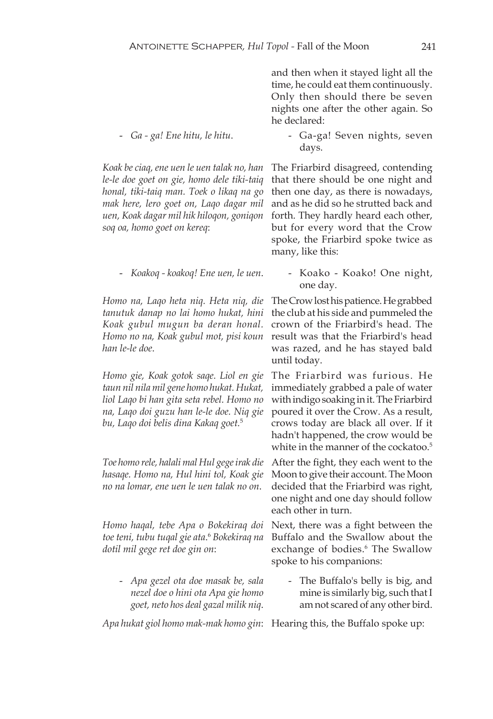- and then when it stayed light all the time, he could eat them continuously. Only then should there be seven nights one after the other again. So he declared:
- *Ga ga! Ene hitu, le hitu*. Ga-ga! Seven nights, seven days.

*Koak be ciaq, ene uen le uen talak no, han le-le doe goet on gie, homo dele tiki-taiq honal, tiki-taiq man. Toek o likaq na go mak here, lero goet on, Laqo dagar mil uen, Koak dagar mil hik hiloqon, goniqon soq oa, homo goet on kereq*:

*Homo na, Laqo heta niq. Heta niq, die tanutuk danap no lai homo hukat, hini Koak gubul mugun ba deran honal. Homo no na, Koak gubul mot, pisi koun han le-le doe*.

*Homo gie, Koak gotok saqe. Liol en gie taun nil nila mil gene homo hukat. Hukat, liol Laqo bi han gita seta rebel. Homo no na, Laqo doi guzu han le-le doe. Niq gie bu, Laqo doi belis dina Kakaq goet.*<sup>5</sup>

*Toe homo rele, halali mal Hul gege irak die hasaqe. Homo na, Hul hini tol, Koak gie no na lomar, ene uen le uen talak no on*.

*Homo haqal, tebe Apa o Bokekiraq doi toe teni, tubu tuqal gie ata*. <sup>6</sup> *Bokekiraq na dotil mil gege ret doe gin on*:

- *Apa gezel ota doe masak be, sala nezel doe o hini ota Apa gie homo goet, neto hos deal gazal milik niq*.

The Friarbird disagreed, contending that there should be one night and then one day, as there is nowadays, and as he did so he strutted back and forth. They hardly heard each other, but for every word that the Crow spoke, the Friarbird spoke twice as many, like this:

- *Koakoq - koakoq! Ene uen, le uen.* - Koako - Koako! One night, one day.

> The Crow lost his patience. He grabbed the club at his side and pummeled the crown of the Friarbird's head. The result was that the Friarbird's head was razed, and he has stayed bald until today.

> The Friarbird was furious. He immediately grabbed a pale of water with indigo soaking in it. The Friarbird poured it over the Crow. As a result, crows today are black all over. If it hadn't happened, the crow would be white in the manner of the cockatoo.<sup>5</sup>

> After the fight, they each went to the Moon to give their account. The Moon decided that the Friarbird was right, one night and one day should follow each other in turn.

> Next, there was a fight between the Buffalo and the Swallow about the exchange of bodies.<sup>6</sup> The Swallow spoke to his companions:

> > - The Buffalo's belly is big, and mine is similarly big, such that I am not scared of any other bird.

*Apa hukat giol homo mak-mak homo gin*: Hearing this, the Buffalo spoke up: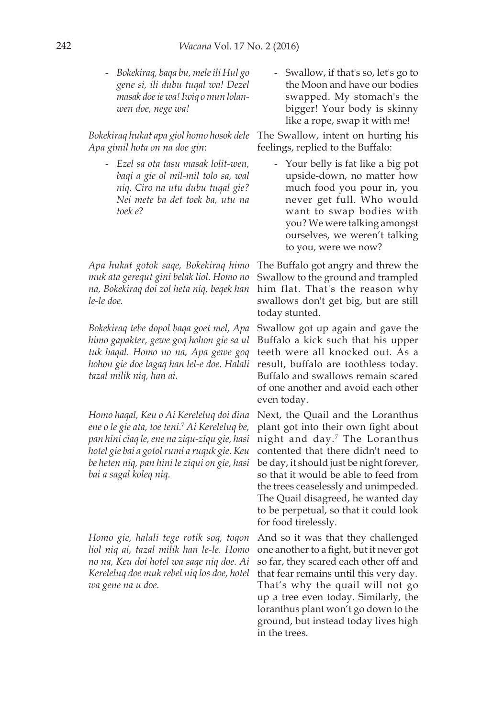- *Bokekiraq, baqa bu, mele ili Hul go gene si, ili dubu tuqal wa! Dezel masak doe ie wa! Iwiq o mun lolanwen doe, nege wa!*

*Bokekiraq hukat apa giol homo hosok dele Apa gimil hota on na doe gin*:

- *Ezel sa ota tasu masak lolit-wen, baqi a gie ol mil-mil tolo sa, wal niq. Ciro na utu dubu tuqal gie? Nei mete ba det toek ba, utu na toek e*?

*Apa hukat gotok saqe, Bokekiraq himo muk ata gerequt gini belak liol. Homo no na, Bokekiraq doi zol heta niq, beqek han le-le doe.*

*Bokekiraq tebe dopol baqa goet mel, Apa himo gapakter, gewe goq hohon gie sa ul tuk haqal. Homo no na, Apa gewe goq hohon gie doe lagaq han lel-e doe. Halali tazal milik niq, han ai.*

*Homo haqal, Keu o Ai Kereleluq doi dina ene o le gie ata, toe teni.*<sup>7</sup> *Ai Kereleluq be, pan hini ciaq le, ene na ziqu-ziqu gie, hasi hotel gie bai a gotol rumi a ruquk gie. Keu be heten niq, pan hini le ziqui on gie, hasi bai a sagal koleq niq.*

*Homo gie, halali tege rotik soq, toqon liol niq ai, tazal milik han le-le. Homo no na, Keu doi hotel wa saqe niq doe. Ai Kereleluq doe muk rebel niq los doe, hotel wa gene na u doe.*

- Swallow, if that's so, let's go to the Moon and have our bodies swapped. My stomach's the bigger! Your body is skinny like a rope, swap it with me!

The Swallow, intent on hurting his feelings, replied to the Buffalo:

> - Your belly is fat like a big pot upside-down, no matter how much food you pour in, you never get full. Who would want to swap bodies with you? We were talking amongst ourselves, we weren't talking to you, were we now?

The Buffalo got angry and threw the Swallow to the ground and trampled him flat. That's the reason why swallows don't get big, but are still today stunted.

Swallow got up again and gave the Buffalo a kick such that his upper teeth were all knocked out. As a result, buffalo are toothless today. Buffalo and swallows remain scared of one another and avoid each other even today.

Next, the Quail and the Loranthus plant got into their own fight about night and day.<sup>7</sup> The Loranthus contented that there didn't need to be day, it should just be night forever, so that it would be able to feed from the trees ceaselessly and unimpeded. The Quail disagreed, he wanted day to be perpetual, so that it could look for food tirelessly.

And so it was that they challenged one another to a fight, but it never got so far, they scared each other off and that fear remains until this very day. That's why the quail will not go up a tree even today. Similarly, the loranthus plant won't go down to the ground, but instead today lives high in the trees.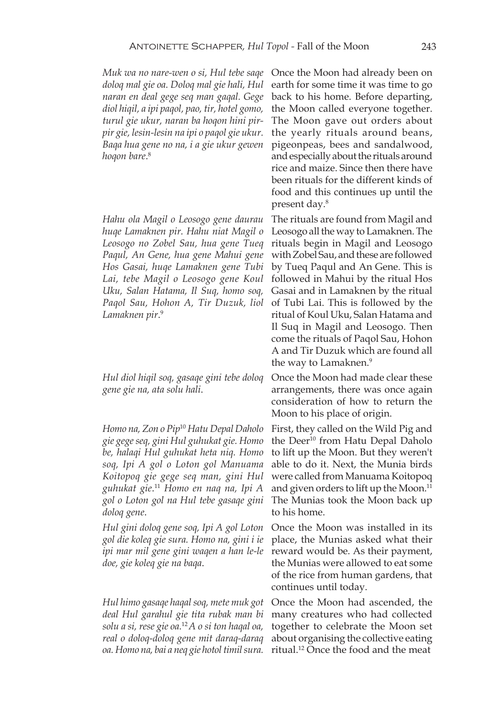*Muk wa no nare-wen o si, Hul tebe saqe doloq mal gie oa. Doloq mal gie hali, Hul naran en deal gege seq man gaqal. Gege diol hiqil, a ipi paqol, pao, tir, hotel gomo, turul gie ukur, naran ba hoqon hini pirpir gie, lesin-lesin na ipi o paqol gie ukur. Baqa hua gene no na, i a gie ukur gewen hoqon bare*. 8

*Hahu ola Magil o Leosogo gene daurau huqe Lamaknen pir. Hahu niat Magil o Leosogo no Zobel Sau, hua gene Tueq Paqul, An Gene, hua gene Mahui gene Hos Gasai, huqe Lamaknen gene Tubi Lai, tebe Magil o Leosogo gene Koul Uku, Salan Hatama, Il Suq, homo soq, Paqol Sau, Hohon A, Tir Duzuk, liol Lamaknen pir*. 9

*Hul diol hiqil soq, gasaqe gini tebe doloq gene gie na, ata solu hali*.

*Homo na, Zon o Pip*<sup>10</sup> *Hatu Depal Daholo gie gege seq, gini Hul guhukat gie. Homo be, halaqi Hul guhukat heta niq. Homo soq, Ipi A gol o Loton gol Manuama Koitopoq gie gege seq man, gini Hul guhukat gie*. <sup>11</sup> *Homo en naq na, Ipi A gol o Loton gol na Hul tebe gasaqe gini doloq gene*.

*Hul gini doloq gene soq, Ipi A gol Loton gol die koleq gie sura. Homo na, gini i ie ipi mar mil gene gini waqen a han le-le doe, gie koleq gie na baqa*.

*Hul himo gasaqe haqal soq, mete muk got deal Hul garahul gie tita rubak man bi solu a si, rese gie oa.*<sup>12</sup>*A o si ton haqal oa, real o doloq-doloq gene mit daraq-daraq oa. Homo na, bai a neq gie hotol timil sura.* Once the Moon had already been on earth for some time it was time to go back to his home. Before departing, the Moon called everyone together. The Moon gave out orders about the yearly rituals around beans, pigeonpeas, bees and sandalwood, and especially about the rituals around rice and maize. Since then there have been rituals for the different kinds of food and this continues up until the present day.8

The rituals are found from Magil and Leosogo all the way to Lamaknen. The rituals begin in Magil and Leosogo with Zobel Sau, and these are followed by Tueq Paqul and An Gene. This is followed in Mahui by the ritual Hos Gasai and in Lamaknen by the ritual of Tubi Lai. This is followed by the ritual of Koul Uku, Salan Hatama and Il Suq in Magil and Leosogo. Then come the rituals of Paqol Sau, Hohon A and Tir Duzuk which are found all the way to Lamaknen.<sup>9</sup>

Once the Moon had made clear these arrangements, there was once again consideration of how to return the Moon to his place of origin.

First, they called on the Wild Pig and the Deer<sup>10</sup> from Hatu Depal Daholo to lift up the Moon. But they weren't able to do it. Next, the Munia birds were called from Manuama Koitopoq and given orders to lift up the Moon.<sup>11</sup> The Munias took the Moon back up to his home.

Once the Moon was installed in its place, the Munias asked what their reward would be. As their payment, the Munias were allowed to eat some of the rice from human gardens, that continues until today.

Once the Moon had ascended, the many creatures who had collected together to celebrate the Moon set about organising the collective eating ritual.12 Once the food and the meat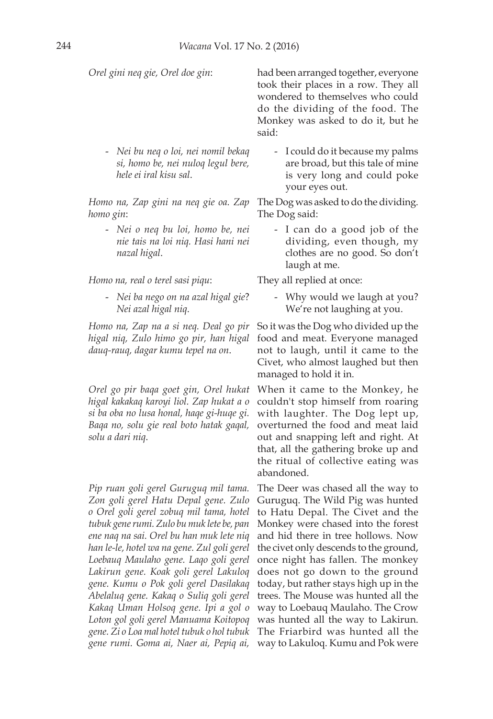- *Nei bu neq o loi, nei nomil bekaq si, homo be, nei nuloq legul bere, hele ei iral kisu sal*.

*Homo na, Zap gini na neq gie oa. Zap homo gin*:

> - *Nei o neq bu loi, homo be, nei nie tais na loi niq. Hasi hani nei nazal higal*.

*Homo na, real o terel sasi piqu*: They all replied at once:

- *Nei ba nego on na azal higal gie*? *Nei azal higal niq*.

*Homo na, Zap na a si neq. Deal go pir higal niq, Zulo himo go pir, han higal dauq-rauq, dagar kumu tepel na on*.

*Orel go pir baqa goet gin, Orel hukat higal kakakaq karoyi liol. Zap hukat a o si ba oba no lusa honal, haqe gi-huqe gi. Baqa no, solu gie real boto hatak gaqal, solu a dari niq*.

*Pip ruan goli gerel Guruguq mil tama. Zon goli gerel Hatu Depal gene. Zulo o Orel goli gerel zobuq mil tama, hotel tubuk gene rumi. Zulo bu muk lete be, pan ene naq na sai. Orel bu han muk lete niq han le-le, hotel wa na gene. Zul goli gerel Loebauq Maulaho gene. Laqo goli gerel Lakirun gene. Koak goli gerel Lakuloq gene. Kumu o Pok goli gerel Dasilakaq Abelaluq gene. Kakaq o Suliq goli gerel Kakaq Uman Holsoq gene. Ipi a gol o Loton gol goli gerel Manuama Koitopoq gene. Zi o Loa mal hotel tubuk o hol tubuk gene rumi. Goma ai, Naer ai, Pepiq ai,* 

*Orel gini neq gie, Orel doe gin*: had been arranged together, everyone took their places in a row. They all wondered to themselves who could do the dividing of the food. The Monkey was asked to do it, but he said:

> - I could do it because my palms are broad, but this tale of mine is very long and could poke your eyes out.

The Dog was asked to do the dividing. The Dog said:

> - I can do a good job of the dividing, even though, my clothes are no good. So don't laugh at me.

Why would we laugh at you? We're not laughing at you.

So it was the Dog who divided up the food and meat. Everyone managed not to laugh, until it came to the Civet, who almost laughed but then managed to hold it in.

When it came to the Monkey, he couldn't stop himself from roaring with laughter. The Dog lept up, overturned the food and meat laid out and snapping left and right. At that, all the gathering broke up and the ritual of collective eating was abandoned.

The Deer was chased all the way to Guruguq. The Wild Pig was hunted to Hatu Depal. The Civet and the Monkey were chased into the forest and hid there in tree hollows. Now the civet only descends to the ground, once night has fallen. The monkey does not go down to the ground today, but rather stays high up in the trees. The Mouse was hunted all the way to Loebauq Maulaho. The Crow was hunted all the way to Lakirun. The Friarbird was hunted all the way to Lakuloq. Kumu and Pok were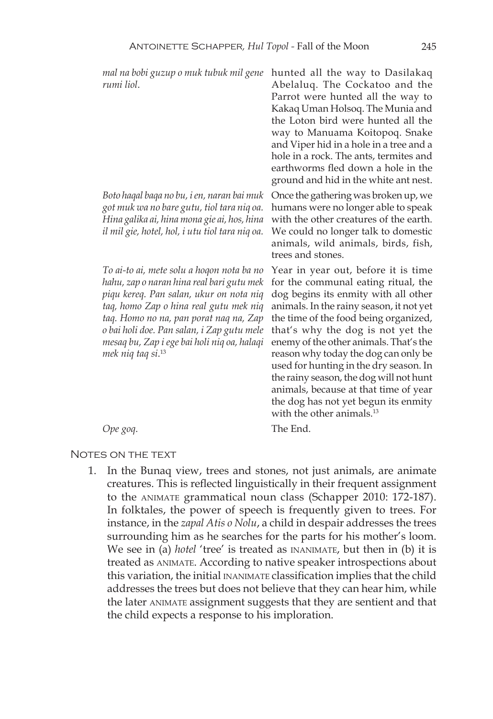*mal na bobi guzup o muk tubuk mil gene*  hunted all the way to Dasilakaq *rumi liol*.

*Boto haqal baqa no bu, i en, naran bai muk got muk wa no bare gutu, tiol tara niq oa. Hina galika ai, hina mona gie ai, hos, hina il mil gie, hotel, hol, i utu tiol tara niq oa.*

*To ai-to ai, mete solu a hoqon nota ba no hahu, zap o naran hina real bari gutu mek piqu kereq. Pan salan, ukur on nota niq taq, homo Zap o hina real gutu mek niq taq. Homo no na, pan porat naq na, Zap o bai holi doe. Pan salan, i Zap gutu mele mesaq bu, Zap i ege bai holi niq oa, halaqi mek niq taq si*. 13

Abelaluq. The Cockatoo and the Parrot were hunted all the way to Kakaq Uman Holsoq. The Munia and the Loton bird were hunted all the way to Manuama Koitopoq. Snake and Viper hid in a hole in a tree and a hole in a rock. The ants, termites and earthworms fled down a hole in the ground and hid in the white ant nest.

Once the gathering was broken up, we humans were no longer able to speak with the other creatures of the earth. We could no longer talk to domestic animals, wild animals, birds, fish, trees and stones.

Year in year out, before it is time for the communal eating ritual, the dog begins its enmity with all other animals. In the rainy season, it not yet the time of the food being organized, that's why the dog is not yet the enemy of the other animals. That's the reason why today the dog can only be used for hunting in the dry season. In the rainy season, the dog will not hunt animals, because at that time of year the dog has not yet begun its enmity with the other animals.<sup>13</sup>

*Ope goq*. The End.

#### NOTES ON THE TEXT

1. In the Bunaq view, trees and stones, not just animals, are animate creatures. This is reflected linguistically in their frequent assignment to the ANIMATE grammatical noun class (Schapper 2010: 172-187). In folktales, the power of speech is frequently given to trees. For instance, in the *zapal Atis o Nolu*, a child in despair addresses the trees surrounding him as he searches for the parts for his mother's loom. We see in (a) *hotel* 'tree' is treated as INANIMATE, but then in (b) it is treated as animate. According to native speaker introspections about this variation, the initial inanimate classification implies that the child addresses the trees but does not believe that they can hear him, while the later animate assignment suggests that they are sentient and that the child expects a response to his imploration.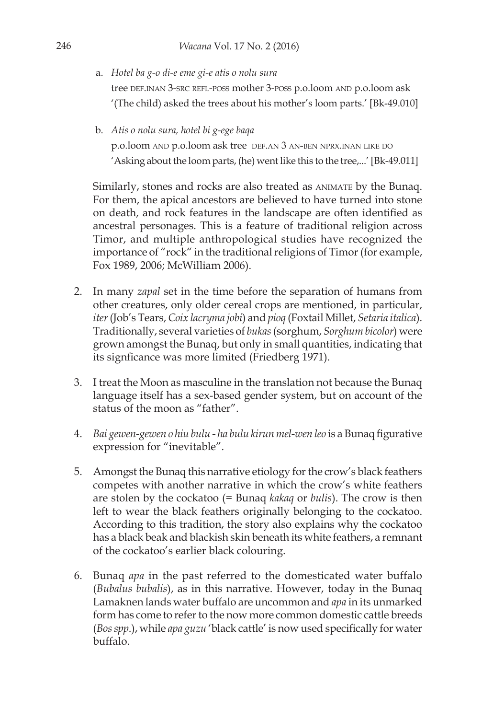a. *Hotel ba g-o di-e eme gi-e atis o nolu sura*

tree def.inan 3-src refl-poss mother 3-poss p.o.loom and p.o.loom ask '(The child) asked the trees about his mother's loom parts.' [Bk-49.010]

b. *Atis o nolu sura, hotel bi g-ege baqa*

p.o.loom and p.o.loom ask tree def.an 3 an-ben nprx.inan like do 'Asking about the loom parts, (he) went like this to the tree,...' [Bk-49.011]

Similarly, stones and rocks are also treated as ANIMATE by the Bunaq. For them, the apical ancestors are believed to have turned into stone on death, and rock features in the landscape are often identified as ancestral personages. This is a feature of traditional religion across Timor, and multiple anthropological studies have recognized the importance of "rock" in the traditional religions of Timor (for example, Fox 1989, 2006; McWilliam 2006).

- 2. In many *zapal* set in the time before the separation of humans from other creatures, only older cereal crops are mentioned, in particular, *iter* (Job's Tears, *Coix lacryma jobi*) and *pioq* (Foxtail Millet, *Setaria italica*). Traditionally, several varieties of *bukas* (sorghum, *Sorghum bicolor*) were grown amongst the Bunaq, but only in small quantities, indicating that its signficance was more limited (Friedberg 1971).
- 3. I treat the Moon as masculine in the translation not because the Bunaq language itself has a sex-based gender system, but on account of the status of the moon as "father".
- 4. *Bai gewen-gewen o hiu bulu ha bulu kirun mel-wen leo* is a Bunaq figurative expression for "inevitable".
- 5. Amongst the Bunaq this narrative etiology for the crow's black feathers competes with another narrative in which the crow's white feathers are stolen by the cockatoo (= Bunaq *kakaq* or *bulis*). The crow is then left to wear the black feathers originally belonging to the cockatoo. According to this tradition, the story also explains why the cockatoo has a black beak and blackish skin beneath its white feathers, a remnant of the cockatoo's earlier black colouring.
- 6. Bunaq *apa* in the past referred to the domesticated water buffalo (*Bubalus bubalis*), as in this narrative. However, today in the Bunaq Lamaknen lands water buffalo are uncommon and *apa* in its unmarked form has come to refer to the now more common domestic cattle breeds (*Bos spp*.), while *apa guzu* 'black cattle' is now used specifically for water buffalo.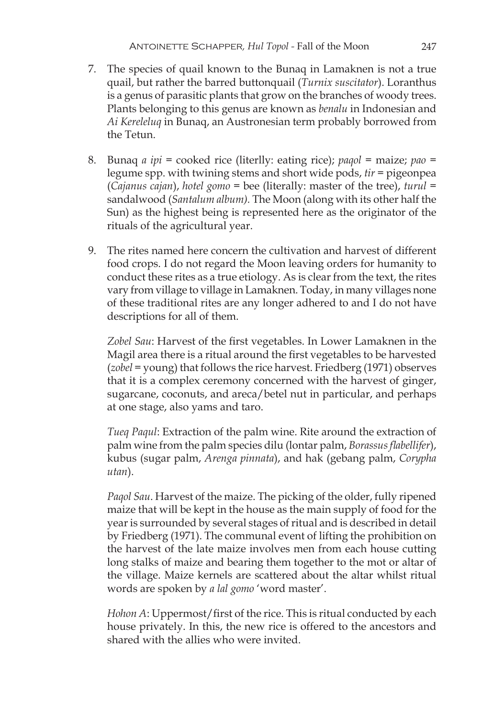- 7. The species of quail known to the Bunaq in Lamaknen is not a true quail, but rather the barred buttonquail (*Turnix suscitator*). Loranthus is a genus of parasitic plants that grow on the branches of woody trees. Plants belonging to this genus are known as *benalu* in Indonesian and *Ai Kereleluq* in Bunaq, an Austronesian term probably borrowed from the Tetun.
- 8. Bunaq *a ipi* = cooked rice (literlly: eating rice); *paqol* = maize; *pao* = legume spp. with twining stems and short wide pods, *tir* = pigeonpea (*Cajanus cajan*), *hotel gomo* = bee (literally: master of the tree), *turul* = sandalwood (*Santalum album).* The Moon (along with its other half the Sun) as the highest being is represented here as the originator of the rituals of the agricultural year.
- 9. The rites named here concern the cultivation and harvest of different food crops. I do not regard the Moon leaving orders for humanity to conduct these rites as a true etiology. As is clear from the text, the rites vary from village to village in Lamaknen. Today, in many villages none of these traditional rites are any longer adhered to and I do not have descriptions for all of them.

*Zobel Sau*: Harvest of the first vegetables. In Lower Lamaknen in the Magil area there is a ritual around the first vegetables to be harvested (*zobel* = young) that follows the rice harvest. Friedberg (1971) observes that it is a complex ceremony concerned with the harvest of ginger, sugarcane, coconuts, and areca/betel nut in particular, and perhaps at one stage, also yams and taro.

*Tueq Paqul*: Extraction of the palm wine. Rite around the extraction of palm wine from the palm species dilu (lontar palm, *Borassus flabellifer*), kubus (sugar palm, *Arenga pinnata*), and hak (gebang palm, *Corypha utan*).

*Paqol Sau*. Harvest of the maize. The picking of the older, fully ripened maize that will be kept in the house as the main supply of food for the year is surrounded by several stages of ritual and is described in detail by Friedberg (1971). The communal event of lifting the prohibition on the harvest of the late maize involves men from each house cutting long stalks of maize and bearing them together to the mot or altar of the village. Maize kernels are scattered about the altar whilst ritual words are spoken by *a lal gomo* 'word master'.

*Hohon A*: Uppermost/first of the rice. This is ritual conducted by each house privately. In this, the new rice is offered to the ancestors and shared with the allies who were invited.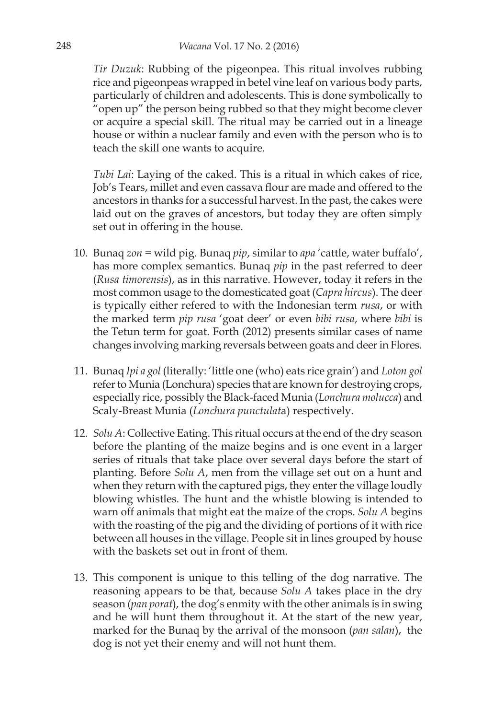*Tir Duzuk*: Rubbing of the pigeonpea. This ritual involves rubbing rice and pigeonpeas wrapped in betel vine leaf on various body parts, particularly of children and adolescents. This is done symbolically to "open up" the person being rubbed so that they might become clever or acquire a special skill. The ritual may be carried out in a lineage house or within a nuclear family and even with the person who is to teach the skill one wants to acquire.

*Tubi Lai*: Laying of the caked. This is a ritual in which cakes of rice, Job's Tears, millet and even cassava flour are made and offered to the ancestors in thanks for a successful harvest. In the past, the cakes were laid out on the graves of ancestors, but today they are often simply set out in offering in the house.

- 10. Bunaq *zon* = wild pig. Bunaq *pip*, similar to *apa* 'cattle, water buffalo', has more complex semantics. Bunaq *pip* in the past referred to deer (*Rusa timorensis*), as in this narrative. However, today it refers in the most common usage to the domesticated goat (*Capra hircus*). The deer is typically either refered to with the Indonesian term *rusa*, or with the marked term *pip rusa* 'goat deer' or even *bibi rusa*, where *bibi* is the Tetun term for goat. Forth (2012) presents similar cases of name changes involving marking reversals between goats and deer in Flores.
- 11. Bunaq *Ipi a gol* (literally: 'little one (who) eats rice grain') and *Loton gol* refer to Munia (Lonchura) species that are known for destroying crops, especially rice, possibly the Black-faced Munia (*Lonchura molucca*) and Scaly-Breast Munia (*Lonchura punctulat*a) respectively.
- 12. *Solu A*: Collective Eating. This ritual occurs at the end of the dry season before the planting of the maize begins and is one event in a larger series of rituals that take place over several days before the start of planting. Before *Solu A*, men from the village set out on a hunt and when they return with the captured pigs, they enter the village loudly blowing whistles. The hunt and the whistle blowing is intended to warn off animals that might eat the maize of the crops. *Solu A* begins with the roasting of the pig and the dividing of portions of it with rice between all houses in the village. People sit in lines grouped by house with the baskets set out in front of them.
- 13. This component is unique to this telling of the dog narrative. The reasoning appears to be that, because *Solu A* takes place in the dry season (*pan porat*), the dog's enmity with the other animals is in swing and he will hunt them throughout it. At the start of the new year, marked for the Bunaq by the arrival of the monsoon (*pan salan*), the dog is not yet their enemy and will not hunt them.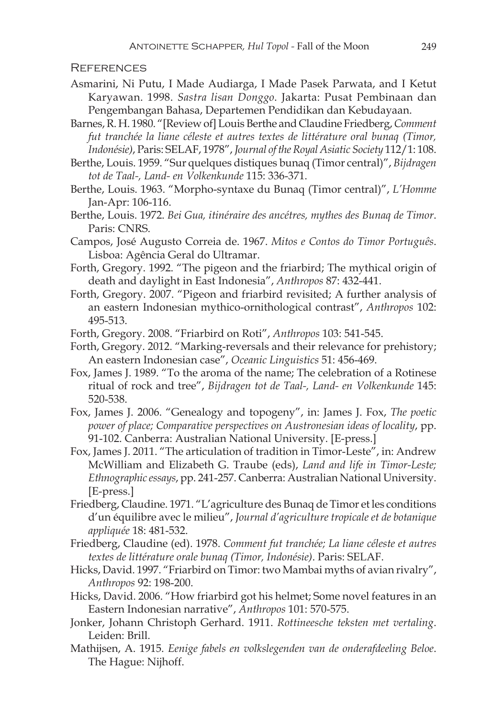#### **REFERENCES**

- Asmarini, Ni Putu, I Made Audiarga, I Made Pasek Parwata, and I Ketut Karyawan. 1998. *Sastra lisan Donggo*. Jakarta: Pusat Pembinaan dan Pengembangan Bahasa, Departemen Pendidikan dan Kebudayaan.
- Barnes, R. H. 1980. "[Review of] Louis Berthe and Claudine Friedberg, *Comment fut tranchée la liane céleste et autres textes de littérature oral bunaq (Timor, Indonésie)*, Paris: SELAF, 1978", *Journal of the Royal Asiatic Society* 112/1: 108.
- Berthe, Louis. 1959. "Sur quelques distiques bunaq (Timor central)", *Bijdragen tot de Taal-, Land- en Volkenkunde* 115: 336-371.
- Berthe, Louis. 1963. "Morpho-syntaxe du Bunaq (Timor central)", *L'Homme* Jan-Apr: 106-116.
- Berthe, Louis. 1972. *Bei Gua, itinéraire des ancétres, mythes des Bunaq de Timor*. Paris: CNRS.
- Campos, José Augusto Correia de. 1967. *Mitos e Contos do Timor Português*. Lisboa: Agência Geral do Ultramar.
- Forth, Gregory. 1992. "The pigeon and the friarbird; The mythical origin of death and daylight in East Indonesia", *Anthropos* 87: 432-441.
- Forth, Gregory. 2007. "Pigeon and friarbird revisited; A further analysis of an eastern Indonesian mythico-ornithological contrast", *Anthropos* 102: 495-513.
- Forth, Gregory. 2008. "Friarbird on Roti", *Anthropos* 103: 541-545.
- Forth, Gregory. 2012. "Marking-reversals and their relevance for prehistory; An eastern Indonesian case", *Oceanic Linguistics* 51: 456-469.
- Fox, James J. 1989. "To the aroma of the name; The celebration of a Rotinese ritual of rock and tree", *Bijdragen tot de Taal-, Land- en Volkenkunde* 145: 520-538.
- Fox, James J. 2006. "Genealogy and topogeny", in: James J. Fox, *The poetic power of place; Comparative perspectives on Austronesian ideas of locality*, pp. 91-102. Canberra: Australian National University. [E-press.]
- Fox, James J. 2011. "The articulation of tradition in Timor-Leste", in: Andrew McWilliam and Elizabeth G. Traube (eds), *Land and life in Timor-Leste; Ethnographic essays*, pp. 241-257. Canberra: Australian National University. [E-press.]
- Friedberg, Claudine. 1971. "L'agriculture des Bunaq de Timor et les conditions d'un équilibre avec le milieu", *Journal d'agriculture tropicale et de botanique appliquée* 18: 481-532.
- Friedberg, Claudine (ed). 1978. *Comment fut tranchée; La liane céleste et autres textes de littérature orale bunaq (Timor, Indonésie)*. Paris: SELAF.
- Hicks, David. 1997. "Friarbird on Timor: two Mambai myths of avian rivalry", *Anthropos* 92: 198-200.
- Hicks, David. 2006. "How friarbird got his helmet; Some novel features in an Eastern Indonesian narrative", *Anthropos* 101: 570-575.
- Jonker, Johann Christoph Gerhard. 1911. *Rottineesche teksten met vertaling*. Leiden: Brill.
- Mathijsen, A. 1915. *Eenige fabels en volkslegenden van de onderafdeeling Beloe*. The Hague: Nijhoff.